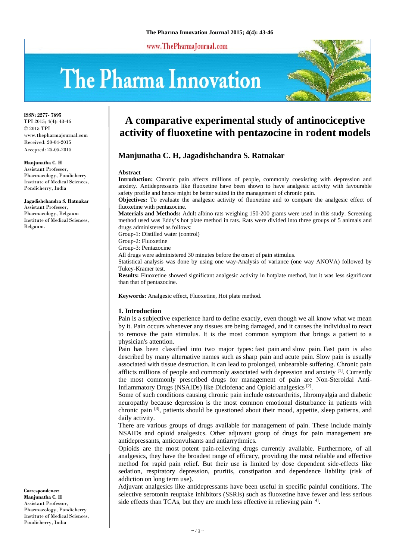www.ThePharmaJournal.com

# The Pharma Innovation



**ISSN: 2277- 7695** TPI 2015; 4(4): 43-46 © 2015 TPI www.thepharmajournal.com Received: 20-04-2015 Accepted: 25-05-2015

#### **Manjunatha C. H**

Assistant Professor, Pharmacology, Pondicherry Institute of Medical Sciences, Pondicherry, India

**Jagadishchandra S. Ratnakar**  Assistant Professor, Pharmacology, Belgaum Institute of Medical Sciences, Belgaum.

**Correspondence: Manjunatha C. H**  Assistant Professor, Pharmacology, Pondicherry Institute of Medical Sciences, Pondicherry, India

# **A comparative experimental study of antinociceptive activity of fluoxetine with pentazocine in rodent models**

# **Manjunatha C. H, Jagadishchandra S. Ratnakar**

#### **Abstract**

**Introduction:** Chronic pain affects millions of people, commonly coexisting with depression and anxiety. Antidepressants like fluoxetine have been shown to have analgesic activity with favourable safety profile and hence might be better suited in the management of chronic pain.

**Objectives:** To evaluate the analgesic activity of fluoxetine and to compare the analgesic effect of fluoxetine with pentazocine.

**Materials and Methods:** Adult albino rats weighing 150-200 grams were used in this study. Screening method used was Eddy's hot plate method in rats. Rats were divided into three groups of 5 animals and drugs administered as follows:

Group-1: Distilled water (control)

Group-2: Fluoxetine

Group-3: Pentazocine

All drugs were administered 30 minutes before the onset of pain stimulus.

Statistical analysis was done by using one way-Analysis of variance (one way ANOVA) followed by Tukey-Kramer test.

**Results:** Fluoxetine showed significant analgesic activity in hotplate method, but it was less significant than that of pentazocine.

**Keywords:** Analgesic effect, Fluoxetine, Hot plate method.

#### **1. Introduction**

Pain is a subjective experience hard to define exactly, even though we all know what we mean by it. Pain occurs whenever any tissues are being damaged, and it causes the individual to react to remove the pain stimulus. It is the most common symptom that brings a patient to a physician's attention.

Pain has been classified into two major types: fast pain and slow pain. Fast pain is also described by many alternative names such as sharp pain and acute pain. Slow pain is usually associated with tissue destruction. It can lead to prolonged, unbearable suffering. Chronic pain afflicts millions of people and commonly associated with depression and anxiety  $[1]$ . Currently the most commonly prescribed drugs for management of pain are Non-Steroidal Anti-Inflammatory Drugs (NSAIDs) like Diclofenac and Opioid analgesics [2].

Some of such conditions causing chronic pain include osteoarthritis, fibromyalgia and diabetic neuropathy because depression is the most common emotional disturbance in patients with chronic pain [3], patients should be questioned about their mood, appetite, sleep patterns, and daily activity.

There are various groups of drugs available for management of pain. These include mainly NSAIDs and opioid analgesics. Other adjuvant group of drugs for pain management are antidepressants, anticonvulsants and antiarrythmics.

Opioids are the most potent pain-relieving drugs currently available. Furthermore, of all analgesics, they have the broadest range of efficacy, providing the most reliable and effective method for rapid pain relief. But their use is limited by dose dependent side-effects like sedation, respiratory depression, pruritis, constipation and dependence liability (risk of addiction on long term use).

Adjuvant analgesics like antidepressants have been useful in specific painful conditions. The selective serotonin reuptake inhibitors (SSRIs) such as fluoxetine have fewer and less serious side effects than TCAs, but they are much less effective in relieving pain [4].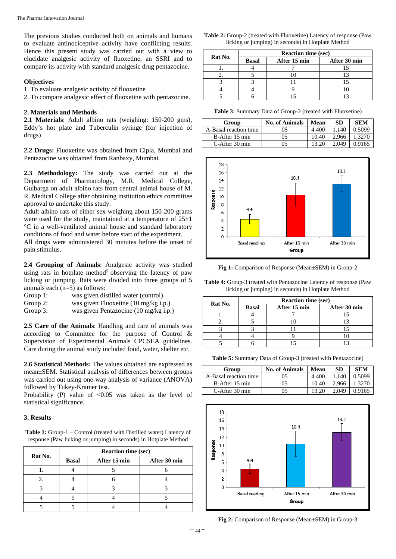The previous studies conducted both on animals and humans to evaluate antinociceptive activity have conflicting results. Hence this present study was carried out with a view to elucidate analgesic activity of fluoxetine, an SSRI and to compare its activity with standard analgesic drug pentazocine.

## **Objectives**

1. To evaluate analgesic activity of fluoxetine

2. To compare analgesic effect of fluoxetine with pentazocine.

#### **2. Materials and Methods**

**2.1 Materials**: Adult albino rats (weighing: 150-200 gms), Eddy's hot plate and Tuberculin syringe (for injection of drugs)

**2.2 Drugs:** Fluoxetine was obtained from Cipla, Mumbai and Pentazocine was obtained from Ranbaxy, Mumbai.

**2.3 Methodology:** The study was carried out at the Department of Pharmacology, M.R. Medical College, Gulbarga on adult albino rats from central animal house of M. R. Medical College after obtaining institution ethics committee approval to undertake this study.

Adult albino rats of either sex weighing about 150-200 grams were used for the study, maintained at a temperature of  $25±1$ °C in a well-ventilated animal house and standard laboratory conditions of food and water before start of the experiment.

All drugs were administered 30 minutes before the onset of pain stimulus.

**2.4 Grouping of Animals**: Analgesic activity was studied using rats in hotplate method<sup>5</sup> observing the latency of paw licking or jumping. Rats were divided into three groups of 5 animals each (n=5) as follows:

- Group 1: was given distilled water (control).
- Group 2: was given Fluoxetine (10 mg/kg i.p.)
- Group 3: was given Pentazocine (10 mg/kg i.p.)

**2.5 Care of the Animals**: Handling and care of animals was according to Committee for the purpose of Control & Supervision of Experimental Animals CPCSEA guidelines. Care during the animal study included food, water, shelter etc.

**2.6 Statistical Methods:** The values obtained are expressed as mean±SEM. Statistical analysis of differences between groups was carried out using one-way analysis of variance (ANOVA) followed by Tukey-Kramer test.

Probability (P) value of  $< 0.05$  was taken as the level of statistical significance.

### **3. Results**

Table 1: Group-1 – Control (treated with Distilled water) Latency of response (Paw licking or jumping) in seconds) in Hotplate Method

|         | <b>Reaction time (sec)</b> |              |              |  |
|---------|----------------------------|--------------|--------------|--|
| Rat No. | <b>Basal</b>               | After 15 min | After 30 min |  |
|         |                            |              |              |  |
|         |                            |              |              |  |
|         |                            |              |              |  |
|         |                            |              |              |  |
|         |                            |              |              |  |

| <b>Table 2:</b> Group-2 (treated with Fluoxetine) Latency of response (Paw |  |
|----------------------------------------------------------------------------|--|
| licking or jumping) in seconds) in Hotplate Method                         |  |

| Rat No. | <b>Reaction time (sec)</b> |              |              |  |
|---------|----------------------------|--------------|--------------|--|
|         | <b>Basal</b>               | After 15 min | After 30 min |  |
|         |                            |              |              |  |
|         |                            |              |              |  |
|         |                            |              |              |  |
|         |                            |              |              |  |
|         |                            |              |              |  |

**Table 3:** Summary Data of Group-2 (treated with Fluoxetine)

| Group                 | <b>No. of Animals</b> | Mean  | <b>SD</b> | <b>SEM</b> |
|-----------------------|-----------------------|-------|-----------|------------|
| A-Basal reaction time | 05                    | 4.400 |           | 0.5099     |
| B-After 15 min        | 05                    | 10.40 | 2.966     |            |
| C-After 30 min        | 05                    |       | 2.049     | 0.9165     |



**Fig 1:** Comparison of Response (Mean±SEM) in Group-2

**Table 4:** Group-3 treated with Pentazocine Latency of response (Paw licking or jumping) in seconds) in Hotplate Method

| Rat No. | <b>Reaction time (sec)</b> |              |              |  |
|---------|----------------------------|--------------|--------------|--|
|         | <b>Basal</b>               | After 15 min | After 30 min |  |
|         |                            |              |              |  |
|         |                            |              |              |  |
|         |                            |              |              |  |
|         |                            |              |              |  |
|         |                            |              |              |  |

**Table 5:** Summary Data of Group-3 (treated with Pentazocine)

| Group                 | No. of Animals | Mean  | SD    | <b>SEM</b> |
|-----------------------|----------------|-------|-------|------------|
| A-Basal reaction time | 05             | 4.400 | 140   | 0.5099     |
| B-After 15 min        | 05             | 10.40 | 2.966 | 1 3270     |
| C-After 30 min        | 05             | 13.20 | 2.049 | 0.9165     |



**Fig 2:** Comparison of Response (Mean±SEM) in Group-3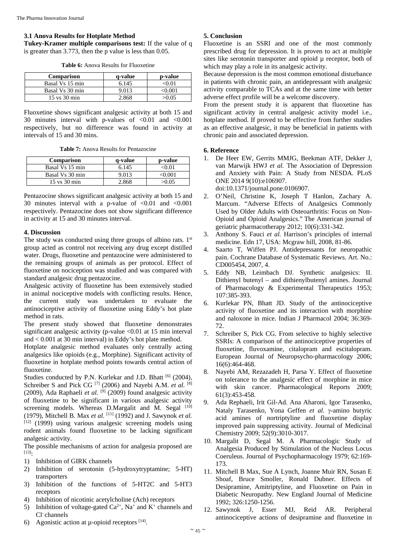#### **3.1 Anova Results for Hotplate Method**

**Tukey-Kramer multiple comparisons test:** If the value of q is greater than 3.773, then the p value is less than 0.05.

**Table 6:** Anova Results for Fluoxetine

| <b>Comparison</b>               | a-value | p-value |
|---------------------------------|---------|---------|
| Basal Vs 15 min                 | 6.145   | <0.01   |
| Basal Vs 30 min                 | 9.013   | 001 - ح |
| $15 \text{ vs } 30 \text{ min}$ | 2.868   | >0.05   |

Fluoxetine shows significant analgesic activity at both 15 and 30 minutes interval with p-values of <0.01 and <0.001 respectively, but no difference was found in activity at intervals of 15 and 30 mins.

**Table 7:** Anova Results for Pentazocine

| <b>Comparison</b>               | a-value | p-value |
|---------------------------------|---------|---------|
| Basal Vs 15 min                 | 6.145   | ∠∩ ∩1   |
| Basal Vs 30 min                 | 9.013   | ∕∩ ∩∩1  |
| $15 \text{ vs } 30 \text{ min}$ | 2.868   | >0.05   |

Pentazocine shows significant analgesic activity at both 15 and 30 minutes interval with a p-value of  $\langle 0.01 \rangle$  and  $\langle 0.001 \rangle$ respectively. Pentazocine does not show significant difference in activity at 15 and 30 minutes interval.

#### **4. Discussion**

The study was conducted using three groups of albino rats.  $1<sup>st</sup>$ group acted as control not receiving any drug except distilled water. Drugs, fluoxetine and pentazocine were administered to the remaining groups of animals as per protocol. Effect of fluoxetine on nociception was studied and was compared with standard analgesic drug pentazocine.

Analgesic activity of fluoxetine has been extensively studied in animal nociceptive models with conflicting results. Hence, the current study was undertaken to evaluate the antinociceptive activity of fluoxetine using Eddy's hot plate method in rats.

The present study showed that fluoxetine demonstrates significant analgesic activity (p-value  $\leq 0.01$  at 15 min interval and < 0.001 at 30 min interval) in Eddy's hot plate method.

Hotplate analgesic method evaluates only centrally acting analgesics like opioids (e.g., Morphine). Significant activity of fluoxetine in hotplate method points towards central action of fluoxetine.

Studies conducted by P.N. Kurlekar and J.D. Bhatt [6] (2004), Schreiber S and Pick CG<sup>[7]</sup> (2006) and Nayebi A.M. *et al.* <sup>[8]</sup> (2009), Ada Raphaeli *et al.*  $[9]$  (2009) found analgesic activity of fluoxetine to be significant in various analgesic activity screening models. Whereas D.Margalit and M. Segal [10] (1979), Mitchell B. Max *et al.* [11] (1992) and J. Sawynok *et al.* [12] (1999) using various analgesic screening models using rodent animals found fluoxetine to be lacking significant analgesic activity.

The possible mechanisms of action for analgesia proposed are [13]:

- 1) Inhibition of GIRK channels
- 2) Inhibition of serotonin (5-hydroxytryptamine; 5-HT) transporters
- 3) Inhibition of the functions of 5-HT2C and 5-HT3 receptors
- 4) Inhibition of nicotinic acetylcholine (Ach) receptors
- 5) Inhibition of voltage-gated  $Ca^{2+}$ , Na<sup>+</sup> and K<sup>+</sup> channels and Cl- channels
- 6) Agonistic action at  $\mu$ -opioid receptors [14].

### **5. Conclusion**

Fluoxetine is an SSRI and one of the most commonly prescribed drug for depression. It is proven to act at multiple sites like serotonin transporter and opioid  $\mu$  receptor, both of which may play a role in its analgesic activity.

Because depression is the most common emotional disturbance in patients with chronic pain, an antidepressant with analgesic activity comparable to TCAs and at the same time with better adverse effect profile will be a welcome discovery.

From the present study it is apparent that fluoxetine has significant activity in central analgesic activity model i.e., hotplate method. If proved to be effective from further studies as an effective analgesic, it may be beneficial in patients with chronic pain and associated depression.

#### **6. Reference**

1. De Heer EW, Gerrits MMJG, Beekman ATF, Dekker J, van Marwijk HWJ *et al.* The Association of Depression and Anxiety with Pain: A Study from NESDA. PLoS ONE 2014 9(10):e106907.

doi:10.1371/journal.pone.0106907.

- 2. O'Neil, Christine K, Joseph T Hanlon, Zachary A. Marcum. "Adverse Effects of Analgesics Commonly Used by Older Adults with Osteoarthritis: Focus on Non-Opioid and Opioid Analgesics." The American journal of geriatric pharmacotherapy 2012; 10(6):331-342.
- 3. Anthony S. Fauci *et al.* Harrison's principles of internal medicine. Edn 17, USA: Mcgraw hill, 2008, 81-86.
- 4. Saarto T, Wiffen PJ. Antidepressants for neuropathic pain. Cochrane Database of Systematic Reviews. Art. No.: CD005454, 2007, 4.
- 5. Eddy NB, Leimbach DJ. Synthetic analgesics: II. Dithienyl butenyl – and dithienylbutenyl amines. Journal of Pharmacology & Experimental Therapeutics 1953; 107:385-393.
- 6. Kurlekar PN, Bhatt JD. Study of the antinociceptive activity of fluoxetine and its interaction with morphine and naloxone in mice. Indian J Pharmacol 2004; 36:369- 72.
- 7. Schreiber S, Pick CG. From selective to highly selective SSRIs: A comparison of the antinociceptive properties of fluoxetine, fluvoxamine, citalopram and escitalopram. European Journal of Neuropsycho-pharmacology 2006; 16(6):464-468.
- 8. Nayebi AM, Rezazadeh H, Parsa Y. Effect of fluoxetine on tolerance to the analgesic effect of morphine in mice with skin cancer. Pharmacological Reports 2009; 61(3):453-458.
- 9. Ada Rephaeli, Irit Gil-Ad. Ana Aharoni, Igor Tarasenko, Nataly Tarasenko, Yona Geffen et al. γ-amino butyric acid amines of nortriptyline and fluoxetine display improved pain suppressing activity. Journal of Medicinal Chemistry 2009; 52(9):3010-3017.
- 10. Margalit D, Segal M. A Pharmacologic Study of Analgesia Produced by Stimulation of the Nucleus Locus Coeruleus. Journal of Psychopharmacology 1979; 62:169- 173.
- 11. Mitchell B Max, Sue A Lynch, Joanne Muir RN, Susan E Shoaf, Bruce Smoller, Ronald Dubner. Effects of Desipramine, Amitriptyline, and Fluoxetine on Pain in Diabetic Neuropathy. New England Journal of Medicine 1992; 326:1250-1256.
- 12. Sawynok J, Esser MJ, Reid AR. Peripheral antinociceptive actions of desipramine and fluoxetine in